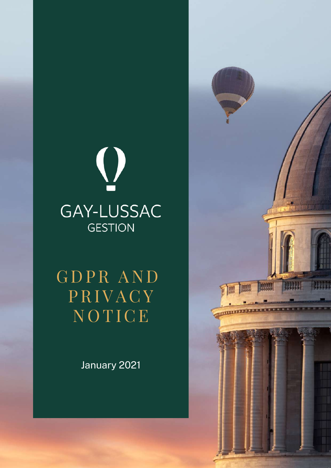

G D PR A N D PRIVACY N O TICE

January 2021

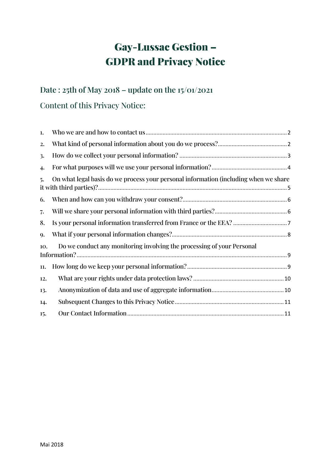# Gay-Lussac Gestion – GDPR and Privacy Notice

## **Date : 25th of May 2018 – update on the 15/01/2021** Content of this Privacy Notice:

| 1.  |                                                                                      |
|-----|--------------------------------------------------------------------------------------|
| 2.  |                                                                                      |
| 3.  |                                                                                      |
| 4.  |                                                                                      |
| 5.  | On what legal basis do we process your personal information (including when we share |
| 6.  |                                                                                      |
| 7.  |                                                                                      |
| 8.  |                                                                                      |
| 9.  |                                                                                      |
| 10. | Do we conduct any monitoring involving the processing of your Personal               |
| 11. |                                                                                      |
| 12. |                                                                                      |
| 13. |                                                                                      |
| 14. |                                                                                      |
| 15. |                                                                                      |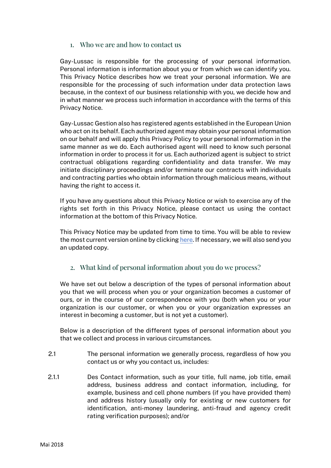#### 1. Who we are and how to contact us

<span id="page-2-0"></span>Gay-Lussac is responsible for the processing of your personal information. Personal information is information about you or from which we can identify you. This Privacy Notice describes how we treat your personal information. We are responsible for the processing of such information under data protection laws because, in the context of our business relationship with you, we decide how and in what manner we process such information in accordance with the terms of this Privacy Notice.

Gay-Lussac Gestion also has registered agents established in the European Union who act on its behalf. Each authorized agent may obtain your personal information on our behalf and will apply this Privacy Policy to your personal information in the same manner as we do. Each authorised agent will need to know such personal information in order to process it for us. Each authorized agent is subject to strict contractual obligations regarding confidentiality and data transfer. We may initiate disciplinary proceedings and/or terminate our contracts with individuals and contracting parties who obtain information through malicious means, without having the right to access it.

If you have any questions about this Privacy Notice or wish to exercise any of the rights set forth in this Privacy Notice, please contact us using the contact information at the bottom of this Privacy Notice.

This Privacy Notice may be updated from time to time. You will be able to review the most current version online by clicking here. If necessary, we will also send you an updated copy.

#### <span id="page-2-1"></span>2. What kind of personal information about you do we process?

We have set out below a description of the types of personal information about you that we will process when you or your organization becomes a customer of ours, or in the course of our correspondence with you (both when you or your organization is our customer, or when you or your organization expresses an interest in becoming a customer, but is not yet a customer).

Below is a description of the different types of personal information about you that we collect and process in various circumstances.

- 2.1 The personal information we generally process, regardless of how you contact us or why you contact us, includes:
- 2.1.1 Des Contact information, such as your title, full name, job title, email address, business address and contact information, including, for example, business and cell phone numbers (if you have provided them) and address history (usually only for existing or new customers for identification, anti-money laundering, anti-fraud and agency credit rating verification purposes); and/or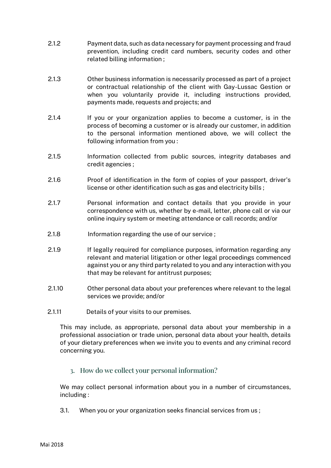- 2.1.2 Payment data, such as data necessary for payment processing and fraud prevention, including credit card numbers, security codes and other related billing information ;
- 2.1.3 Other business information is necessarily processed as part of a project or contractual relationship of the client with Gay-Lussac Gestion or when you voluntarily provide it, including instructions provided, payments made, requests and projects; and
- 2.1.4 If you or your organization applies to become a customer, is in the process of becoming a customer or is already our customer, in addition to the personal information mentioned above, we will collect the following information from you :
- 2.1.5 Information collected from public sources, integrity databases and credit agencies ;
- 2.1.6 Proof of identification in the form of copies of your passport, driver's license or other identification such as gas and electricity bills ;
- 2.1.7 Personal information and contact details that you provide in your correspondence with us, whether by e-mail, letter, phone call or via our online inquiry system or meeting attendance or call records; and/or
- 2.1.8 Information regarding the use of our service ;
- 2.1.9 If legally required for compliance purposes, information regarding any relevant and material litigation or other legal proceedings commenced against you or any third party related to you and any interaction with you that may be relevant for antitrust purposes;
- 2.1.10 Other personal data about your preferences where relevant to the legal services we provide; and/or
- 2.1.11 Details of your visits to our premises.

This may include, as appropriate, personal data about your membership in a professional association or trade union, personal data about your health, details of your dietary preferences when we invite you to events and any criminal record concerning you.

<span id="page-3-0"></span>3. How do we collect your personal information?

We may collect personal information about you in a number of circumstances, including :

3.1. When you or your organization seeks financial services from us ;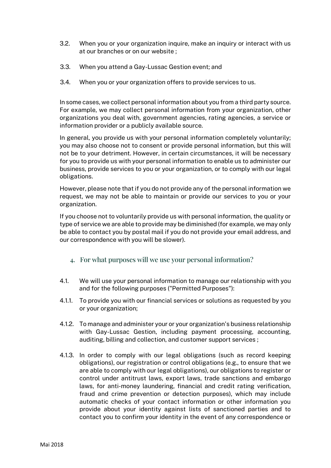- 3.2. When you or your organization inquire, make an inquiry or interact with us at our branches or on our website ;
- 3.3. When you attend a Gay-Lussac Gestion event; and
- 3.4. When you or your organization offers to provide services to us.

In some cases, we collect personal information about you from a third party source. For example, we may collect personal information from your organization, other organizations you deal with, government agencies, rating agencies, a service or information provider or a publicly available source.

In general, you provide us with your personal information completely voluntarily; you may also choose not to consent or provide personal information, but this will not be to your detriment. However, in certain circumstances, it will be necessary for you to provide us with your personal information to enable us to administer our business, provide services to you or your organization, or to comply with our legal obligations.

However, please note that if you do not provide any of the personal information we request, we may not be able to maintain or provide our services to you or your organization.

If you choose not to voluntarily provide us with personal information, the quality or type of service we are able to provide may be diminished (for example, we may only be able to contact you by postal mail if you do not provide your email address, and our correspondence with you will be slower).

- <span id="page-4-0"></span>4. For what purposes will we use your personal information?
- 4.1. We will use your personal information to manage our relationship with you and for the following purposes ("Permitted Purposes"):
- 4.1.1. To provide you with our financial services or solutions as requested by you or your organization;
- 4.1.2. To manage and administer your or your organization's business relationship with Gay-Lussac Gestion, including payment processing, accounting, auditing, billing and collection, and customer support services ;
- 4.1.3. In order to comply with our legal obligations (such as record keeping obligations), our registration or control obligations (e.g., to ensure that we are able to comply with our legal obligations), our obligations to register or control under antitrust laws, export laws, trade sanctions and embargo laws, for anti-money laundering, financial and credit rating verification, fraud and crime prevention or detection purposes), which may include automatic checks of your contact information or other information you provide about your identity against lists of sanctioned parties and to contact you to confirm your identity in the event of any correspondence or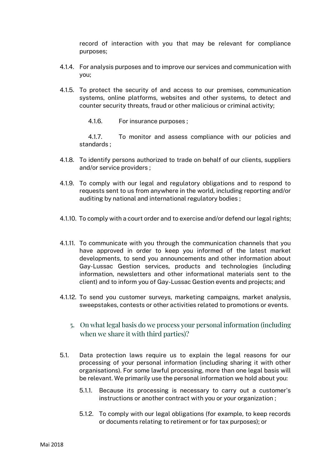record of interaction with you that may be relevant for compliance purposes;

- 4.1.4. For analysis purposes and to improve our services and communication with you;
- 4.1.5. To protect the security of and access to our premises, communication systems, online platforms, websites and other systems, to detect and counter security threats, fraud or other malicious or criminal activity;
	- 4.1.6. For insurance purposes ;

4.1.7. To monitor and assess compliance with our policies and standards ;

- 4.1.8. To identify persons authorized to trade on behalf of our clients, suppliers and/or service providers ;
- 4.1.9. To comply with our legal and regulatory obligations and to respond to requests sent to us from anywhere in the world, including reporting and/or auditing by national and international regulatory bodies ;
- 4.1.10. To comply with a court order and to exercise and/or defend our legal rights;
- 4.1.11. To communicate with you through the communication channels that you have approved in order to keep you informed of the latest market developments, to send you announcements and other information about Gay-Lussac Gestion services, products and technologies (including information, newsletters and other informational materials sent to the client) and to inform you of Gay-Lussac Gestion events and projects; and
- <span id="page-5-0"></span>4.1.12. To send you customer surveys, marketing campaigns, market analysis, sweepstakes, contests or other activities related to promotions or events.
	- 5. On what legal basis do we process your personal information (including when we share it with third parties)?
- 5.1. Data protection laws require us to explain the legal reasons for our processing of your personal information (including sharing it with other organisations). For some lawful processing, more than one legal basis will be relevant. We primarily use the personal information we hold about you:
	- 5.1.1. Because its processing is necessary to carry out a customer's instructions or another contract with you or your organization ;
	- 5.1.2. To comply with our legal obligations (for example, to keep records or documents relating to retirement or for tax purposes); or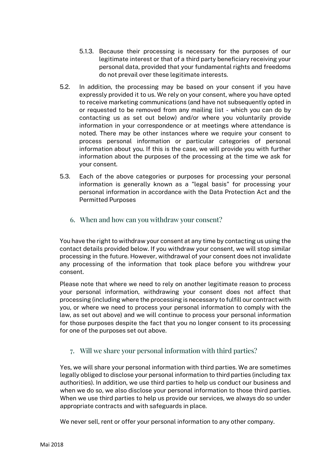- 5.1.3. Because their processing is necessary for the purposes of our legitimate interest or that of a third party beneficiary receiving your personal data, provided that your fundamental rights and freedoms do not prevail over these legitimate interests.
- 5.2. In addition, the processing may be based on your consent if you have expressly provided it to us. We rely on your consent, where you have opted to receive marketing communications (and have not subsequently opted in or requested to be removed from any mailing list - which you can do by contacting us as set out below) and/or where you voluntarily provide information in your correspondence or at meetings where attendance is noted. There may be other instances where we require your consent to process personal information or particular categories of personal information about you. If this is the case, we will provide you with further information about the purposes of the processing at the time we ask for your consent.
- 5.3. Each of the above categories or purposes for processing your personal information is generally known as a "legal basis" for processing your personal information in accordance with the Data Protection Act and the Permitted Purposes
	- 6. When and how can you withdraw your consent?

<span id="page-6-0"></span>You have the right to withdraw your consent at any time by contacting us using the contact details provided below. If you withdraw your consent, we will stop similar processing in the future. However, withdrawal of your consent does not invalidate any processing of the information that took place before you withdrew your consent.

Please note that where we need to rely on another legitimate reason to process your personal information, withdrawing your consent does not affect that processing (including where the processing is necessary to fulfill our contract with you, or where we need to process your personal information to comply with the law, as set out above) and we will continue to process your personal information for those purposes despite the fact that you no longer consent to its processing for one of the purposes set out above.

## <span id="page-6-1"></span>7. Will we share your personal information with third parties?

Yes, we will share your personal information with third parties. We are sometimes legally obliged to disclose your personal information to third parties (including tax authorities). In addition, we use third parties to help us conduct our business and when we do so, we also disclose your personal information to those third parties. When we use third parties to help us provide our services, we always do so under appropriate contracts and with safeguards in place.

We never sell, rent or offer your personal information to any other company.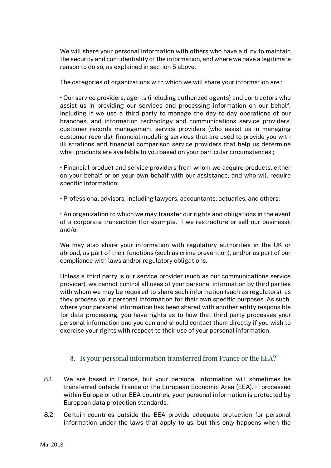We will share your personal information with others who have a duty to maintain the security and confidentiality of the information, and where we have a legitimate reason to do so, as explained in section 5 above.

The categories of organizations with which we will share your information are :

• Our service providers, agents (including authorized agents) and contractors who assist us in providing our services and processing information on our behalf, including if we use a third party to manage the day-to-day operations of our branches, and information technology and communications service providers, customer records management service providers (who assist us in managing customer records); financial modeling services that are used to provide you with illustrations and financial comparison service providers that help us determine what products are available to you based on your particular circumstances ;

• Financial product and service providers from whom we acquire products, either on your behalf or on your own behalf with our assistance, and who will require specific information;

• Professional advisors, including lawyers, accountants, actuaries, and others;

• An organization to which we may transfer our rights and obligations in the event of a corporate transaction (for example, if we restructure or sell our business); and/or

We may also share your information with regulatory authorities in the UK or abroad, as part of their functions (such as crime prevention), and/or as part of our compliance with laws and/or regulatory obligations.

Unless a third party is our service provider (such as our communications service provider), we cannot control all uses of your personal information by third parties with whom we may be required to share such information (such as regulators), as they process your personal information for their own specific purposes. As such, where your personal information has been shared with another entity responsible for data processing, you have rights as to how that third party processes your personal information and you can and should contact them directly if you wish to exercise your rights with respect to their use of your personal information.

## 8. Is your personal information transferred from France or the EEA?

- <span id="page-7-0"></span>8.1 We are based in France, but your personal information will sometimes be transferred outside France or the European Economic Area (EEA). If processed within Europe or other EEA countries, your personal information is protected by European data protection standards.
- 8.2 Certain countries outside the EEA provide adequate protection for personal information under the laws that apply to us, but this only happens when the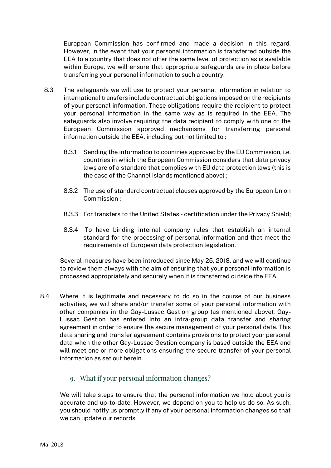European Commission has confirmed and made a decision in this regard. However, in the event that your personal information is transferred outside the EEA to a country that does not offer the same level of protection as is available within Europe, we will ensure that appropriate safeguards are in place before transferring your personal information to such a country.

- 8.3 The safeguards we will use to protect your personal information in relation to international transfers include contractual obligations imposed on the recipients of your personal information. These obligations require the recipient to protect your personal information in the same way as is required in the EEA. The safeguards also involve requiring the data recipient to comply with one of the European Commission approved mechanisms for transferring personal information outside the EEA, including but not limited to :
	- 8.3.1 Sending the information to countries approved by the EU Commission, i.e. countries in which the European Commission considers that data privacy laws are of a standard that complies with EU data protection laws (this is the case of the Channel Islands mentioned above) ;
	- 8.3.2 The use of standard contractual clauses approved by the European Union Commission ;
	- 8.3.3 For transfers to the United States certification under the Privacy Shield;
	- 8.3.4 To have binding internal company rules that establish an internal standard for the processing of personal information and that meet the requirements of European data protection legislation.

Several measures have been introduced since May 25, 2018, and we will continue to review them always with the aim of ensuring that your personal information is processed appropriately and securely when it is transferred outside the EEA.

- 8.4 Where it is legitimate and necessary to do so in the course of our business activities, we will share and/or transfer some of your personal information with other companies in the Gay-Lussac Gestion group (as mentioned above). Gay-Lussac Gestion has entered into an intra-group data transfer and sharing agreement in order to ensure the secure management of your personal data. This data sharing and transfer agreement contains provisions to protect your personal data when the other Gay-Lussac Gestion company is based outside the EEA and will meet one or more obligations ensuring the secure transfer of your personal information as set out herein.
	- 9. What if your personal information changes?

<span id="page-8-0"></span>We will take steps to ensure that the personal information we hold about you is accurate and up-to-date. However, we depend on you to help us do so. As such, you should notify us promptly if any of your personal information changes so that we can update our records.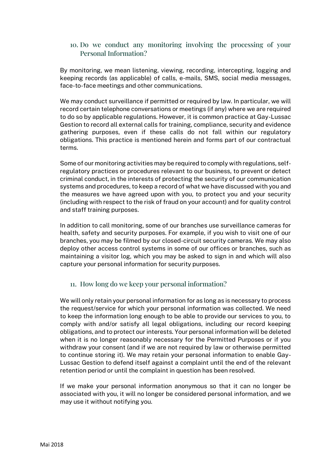## <span id="page-9-0"></span>10. Do we conduct any monitoring involving the processing of your Personal Information?

By monitoring, we mean listening, viewing, recording, intercepting, logging and keeping records (as applicable) of calls, e-mails, SMS, social media messages, face-to-face meetings and other communications.

We may conduct surveillance if permitted or required by law. In particular, we will record certain telephone conversations or meetings (if any) where we are required to do so by applicable regulations. However, it is common practice at Gay-Lussac Gestion to record all external calls for training, compliance, security and evidence gathering purposes, even if these calls do not fall within our regulatory obligations. This practice is mentioned herein and forms part of our contractual terms.

Some of our monitoring activities may be required to comply with regulations, selfregulatory practices or procedures relevant to our business, to prevent or detect criminal conduct, in the interests of protecting the security of our communication systems and procedures, to keep a record of what we have discussed with you and the measures we have agreed upon with you, to protect you and your security (including with respect to the risk of fraud on your account) and for quality control and staff training purposes.

In addition to call monitoring, some of our branches use surveillance cameras for health, safety and security purposes. For example, if you wish to visit one of our branches, you may be filmed by our closed-circuit security cameras. We may also deploy other access control systems in some of our offices or branches, such as maintaining a visitor log, which you may be asked to sign in and which will also capture your personal information for security purposes.

## <span id="page-9-1"></span>11. How long do we keep your personal information?

We will only retain your personal information for as long as is necessary to process the request/service for which your personal information was collected. We need to keep the information long enough to be able to provide our services to you, to comply with and/or satisfy all legal obligations, including our record keeping obligations, and to protect our interests. Your personal information will be deleted when it is no longer reasonably necessary for the Permitted Purposes or if you withdraw your consent (and if we are not required by law or otherwise permitted to continue storing it). We may retain your personal information to enable Gay-Lussac Gestion to defend itself against a complaint until the end of the relevant retention period or until the complaint in question has been resolved.

If we make your personal information anonymous so that it can no longer be associated with you, it will no longer be considered personal information, and we may use it without notifying you.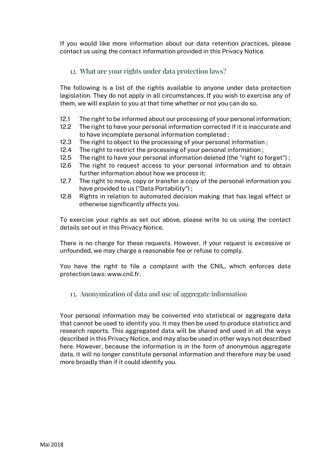<span id="page-10-0"></span>If you would like more information about our data retention practices, please contact us using the contact information provided in this Privacy Notice.

## 12. What are your rights under data protection laws?

The following is a list of the rights available to anyone under data protection legislation. They do not apply in all circumstances. If you wish to exercise any of them, we will explain to you at that time whether or not you can do so.

- 12.1 The right to be informed about our processing of your personal information;
- 12.2 The right to have your personal information corrected if it is inaccurate and to have incomplete personal information completed ;
- 12.3 The right to object to the processing of your personal information ;
- 12.4 The right to restrict the processing of your personal information ;
- 12.5 The right to have your personal information deleted (the "right to forget") ;
- 12.6 The right to request access to your personal information and to obtain further information about how we process it;
- 12.7 The right to move, copy or transfer a copy of the personal information you have provided to us ("Data Portability") ;
- 12.8 Rights in relation to automated decision making that has legal effect or otherwise significantly affects you.

To exercise your rights as set out above, please write to us using the contact details set out in this Privacy Notice.

There is no charge for these requests. However, if your request is excessive or unfounded, we may charge a reasonable fee or refuse to comply.

<span id="page-10-1"></span>You have the right to file a complaint with the CNIL, which enforces data protection laws: www.cnil.fr.

#### 13. Anonymization of data and use of aggregate information

Your personal information may be converted into statistical or aggregate data that cannot be used to identify you. It may then be used to produce statistics and research reports. This aggregated data will be shared and used in all the ways described in this Privacy Notice, and may also be used in other ways not described here. However, because the information is in the form of anonymous aggregate data, it will no longer constitute personal information and therefore may be used more broadly than if it could identify you.